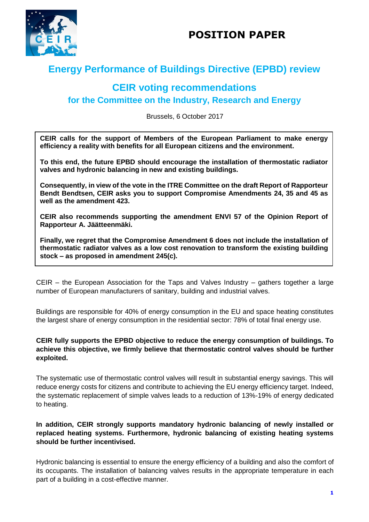



# **Energy Performance of Buildings Directive (EPBD) review**

## **CEIR voting recommendations for the Committee on the Industry, Research and Energy**

Brussels, 6 October 2017

**CEIR calls for the support of Members of the European Parliament to make energy efficiency a reality with benefits for all European citizens and the environment.**

**To this end, the future EPBD should encourage the installation of thermostatic radiator valves and hydronic balancing in new and existing buildings.** 

**Consequently, in view of the vote in the ITRE Committee on the draft Report of Rapporteur Bendt Bendtsen, CEIR asks you to support Compromise Amendments 24, 35 and 45 as well as the amendment 423.**

**CEIR also recommends supporting the amendment ENVI 57 of the Opinion Report of Rapporteur A. Jäätteenmäki.**

**Finally, we regret that the Compromise Amendment 6 does not include the installation of thermostatic radiator valves as a low cost renovation to transform the existing building stock – as proposed in amendment 245(c).** 

CEIR – the European Association for the Taps and Valves Industry – gathers together a large number of European manufacturers of sanitary, building and industrial valves.

Buildings are responsible for 40% of energy consumption in the EU and space heating constitutes the largest share of energy consumption in the residential sector: 78% of total final energy use.

#### **CEIR fully supports the EPBD objective to reduce the energy consumption of buildings. To achieve this objective, we firmly believe that thermostatic control valves should be further exploited.**

The systematic use of thermostatic control valves will result in substantial energy savings. This will reduce energy costs for citizens and contribute to achieving the EU energy efficiency target. Indeed, the systematic replacement of simple valves leads to a reduction of 13%-19% of energy dedicated to heating.

### **In addition, CEIR strongly supports mandatory hydronic balancing of newly installed or replaced heating systems. Furthermore, hydronic balancing of existing heating systems should be further incentivised.**

Hydronic balancing is essential to ensure the energy efficiency of a building and also the comfort of its occupants. The installation of balancing valves results in the appropriate temperature in each part of a building in a cost-effective manner.